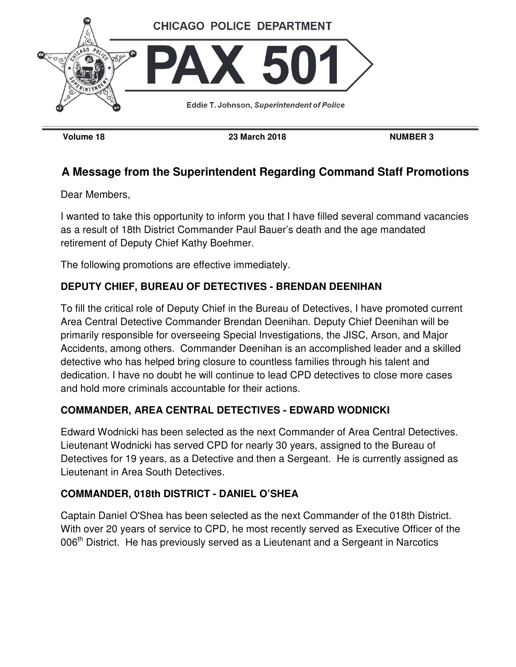

**Volume 18 23 March 2018 NUMBER 3** 

# **A Message from the Superintendent Regarding Command Staff Promotions**

Dear Members,

I wanted to take this opportunity to inform you that I have filled several command vacancies as a result of 18th District Commander Paul Bauer's death and the age mandated retirement of Deputy Chief Kathy Boehmer.

The following promotions are effective immediately.

## **DEPUTY CHIEF, BUREAU OF DETECTIVES - BRENDAN DEENIHAN**

To fill the critical role of Deputy Chief in the Bureau of Detectives, I have promoted current Area Central Detective Commander Brendan Deenihan. Deputy Chief Deenihan will be primarily responsible for overseeing Special Investigations, the JISC, Arson, and Major Accidents, among others. Commander Deenihan is an accomplished leader and a skilled detective who has helped bring closure to countless families through his talent and dedication. I have no doubt he will continue to lead CPD detectives to close more cases and hold more criminals accountable for their actions.

### **COMMANDER, AREA CENTRAL DETECTIVES - EDWARD WODNICKI**

Edward Wodnicki has been selected as the next Commander of Area Central Detectives. Lieutenant Wodnicki has served CPD for nearly 30 years, assigned to the Bureau of Detectives for 19 years, as a Detective and then a Sergeant. He is currently assigned as Lieutenant in Area South Detectives.

### **COMMANDER, 018th DISTRICT - DANIEL O'SHEA**

Captain Daniel O'Shea has been selected as the next Commander of the 018th District. With over 20 years of service to CPD, he most recently served as Executive Officer of the 006<sup>th</sup> District. He has previously served as a Lieutenant and a Sergeant in Narcotics